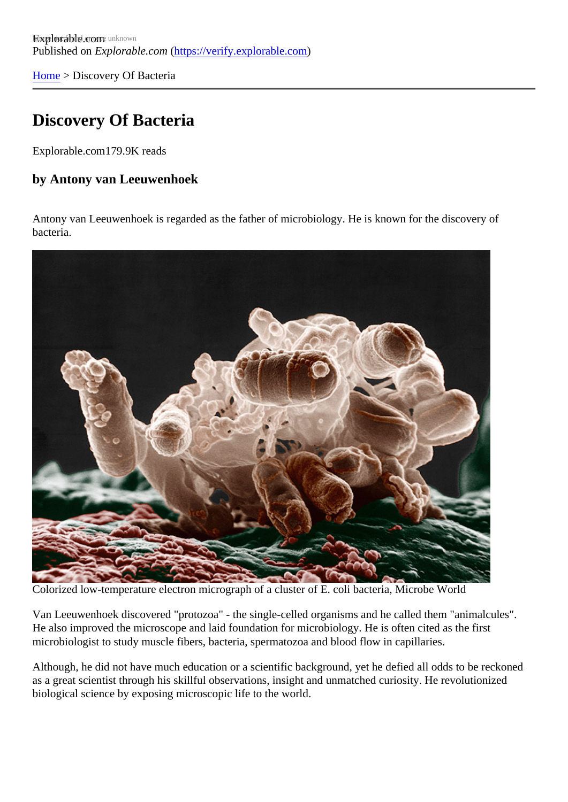[Home](https://verify.explorable.com/) > Discovery Of Bacteria

## Discovery Of Bacteria

Explorable.com179.9K reads

by Antony van Leeuwenhoek

Antony van Leeuwenhoek is regarded as the father of microbiology. He is known for the discovery of bacteria.

Colorized low-temperature electron micrograph of a cluster of E. coli bacteria, Microbe World

Van Leeuwenhoek discovered "protozoa" - the single-celled organisms and he called them "animalcules". He also improved the microscope and laid foundation for microbiology. He is often cited as the first microbiologist to study muscle fibers, bacteria, spermatozoa and blood flow in capillaries.

Although, he did not have much education or a scientific background, yet he defied all odds to be reckone as a great scientist through his skillful observations, insight and unmatched curiosity. He revolutionized biological science by exposing microscopic life to the world.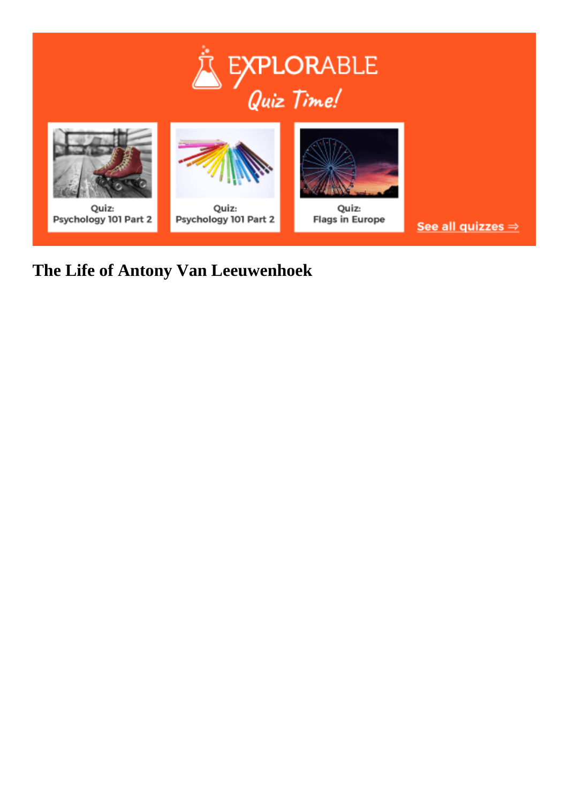



# **The Life of Antony Van Leeuwenhoek**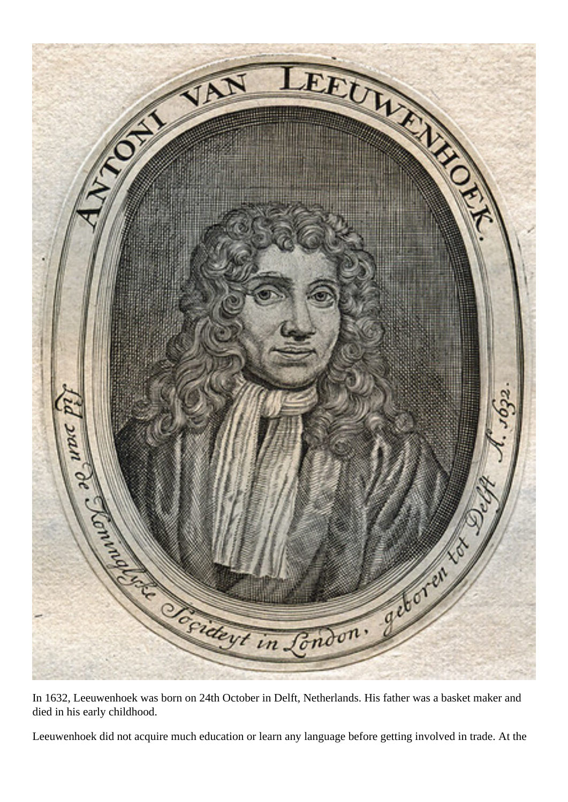

In 1632, Leeuwenhoek was born on 24th October in Delft, Netherlands. His father was a basket maker and died in his early childhood.

Leeuwenhoek did not acquire much education or learn any language before getting involved in trade. At the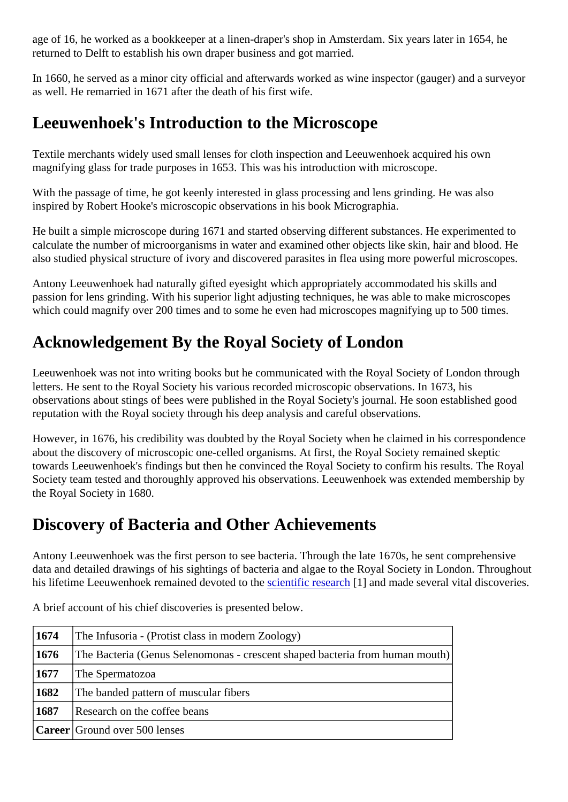age of 16, he worked as a bookkeeper at a linen-draper's shop in Amsterdam. Six years later in 1654, he returned to Delft to establish his own draper business and got married.

In 1660, he served as a minor city official and afterwards worked as wine inspector (gauger) and a survey as well. He remarried in 1671 after the death of his first wife.

## Leeuwenhoek's Introduction to the Microscope

Textile merchants widely used small lenses for cloth inspection and Leeuwenhoek acquired his own magnifying glass for trade purposes in 1653. This was his introduction with microscope.

With the passage of time, he got keenly interested in glass processing and lens grinding. He was also inspired by Robert Hooke's microscopic observations in his book Micrographia.

He built a simple microscope during 1671 and started observing different substances. He experimented to calculate the number of microorganisms in water and examined other objects like skin, hair and blood. He also studied physical structure of ivory and discovered parasites in flea using more powerful microscopes.

Antony Leeuwenhoek had naturally gifted eyesight which appropriately accommodated his skills and passion for lens grinding. With his superior light adjusting techniques, he was able to make microscopes which could magnify over 200 times and to some he even had microscopes magnifying up to 500 times.

# Acknowledgement By the Royal Society of London

Leeuwenhoek was not into writing books but he communicated with the Royal Society of London through letters. He sent to the Royal Society his various recorded microscopic observations. In 1673, his observations about stings of bees were published in the Royal Society's journal. He soon established good reputation with the Royal society through his deep analysis and careful observations.

However, in 1676, his credibility was doubted by the Royal Society when he claimed in his correspondence about the discovery of microscopic one-celled organisms. At first, the Royal Society remained skeptic towards Leeuwenhoek's findings but then he convinced the Royal Society to confirm his results. The Roya Society team tested and thoroughly approved his observations. Leeuwenhoek was extended membership the Royal Society in 1680.

## Discovery of Bacteria and Other Achievements

Antony Leeuwenhoek was the first person to see bacteria. Through the late 1670s, he sent comprehensive data and detailed drawings of his sightings of bacteria and algae to the Royal Society in London. Through his lifetime Leeuwenhoek remained devoted to the ntific research and made several vital discoveries.

| 1674 | The Infusoria - (Protist class in modern Zoology)                            |  |
|------|------------------------------------------------------------------------------|--|
| 1676 | The Bacteria (Genus Selenomonas - crescent shaped bacteria from human mouth) |  |
| 1677 | The Spermatozoa                                                              |  |
| 1682 | The banded pattern of muscular fibers                                        |  |
| 1687 | Research on the coffee beans                                                 |  |
|      | Career Ground over 500 lenses                                                |  |

A brief account of his chief discoveries is presented below.